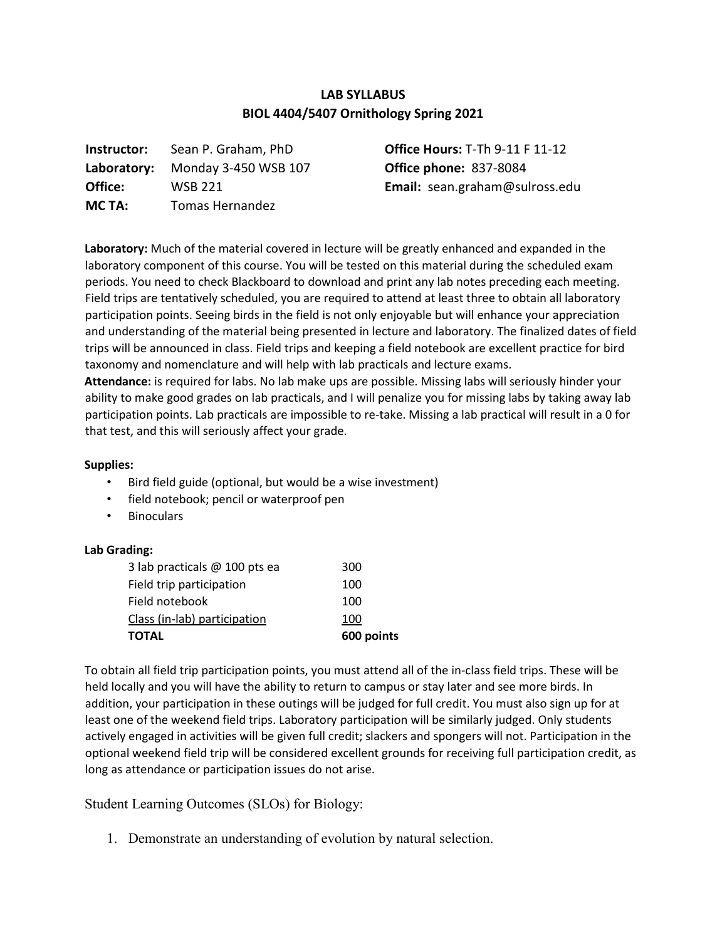## **LAB SYLLABUS BIOL 4404/5407 Ornithology Spring 2021**

| Instructor: | Sean P. Graham, PhD    |
|-------------|------------------------|
| Laboratory: | Monday 3-450 WSB 107   |
| Office:     | <b>WSB 221</b>         |
| MC TA:      | <b>Tomas Hernandez</b> |

**Office Hours:** T-Th 9-11 F 11-12 **Office phone:** 837-8084 **Email:** sean.graham@sulross.edu

**Laboratory:** Much of the material covered in lecture will be greatly enhanced and expanded in the laboratory component of this course. You will be tested on this material during the scheduled exam periods. You need to check Blackboard to download and print any lab notes preceding each meeting. Field trips are tentatively scheduled, you are required to attend at least three to obtain all laboratory participation points. Seeing birds in the field is not only enjoyable but will enhance your appreciation and understanding of the material being presented in lecture and laboratory. The finalized dates of field trips will be announced in class. Field trips and keeping a field notebook are excellent practice for bird taxonomy and nomenclature and will help with lab practicals and lecture exams.

**Attendance:** is required for labs. No lab make ups are possible. Missing labs will seriously hinder your ability to make good grades on lab practicals, and I will penalize you for missing labs by taking away lab participation points. Lab practicals are impossible to re-take. Missing a lab practical will result in a 0 for that test, and this will seriously affect your grade.

## **Supplies:**

- Bird field guide (optional, but would be a wise investment)
- field notebook; pencil or waterproof pen
- **Binoculars**

## **Lab Grading:**

| <b>TOTAL</b>                    | 600 points |
|---------------------------------|------------|
| Class (in-lab) participation    | 100        |
| Field notebook                  | 100        |
| Field trip participation        | 100        |
| 3 lab practicals $@$ 100 pts ea | 300        |

To obtain all field trip participation points, you must attend all of the in-class field trips. These will be held locally and you will have the ability to return to campus or stay later and see more birds. In addition, your participation in these outings will be judged for full credit. You must also sign up for at least one of the weekend field trips. Laboratory participation will be similarly judged. Only students actively engaged in activities will be given full credit; slackers and spongers will not. Participation in the optional weekend field trip will be considered excellent grounds for receiving full participation credit, as long as attendance or participation issues do not arise.

Student Learning Outcomes (SLOs) for Biology:

1. Demonstrate an understanding of evolution by natural selection.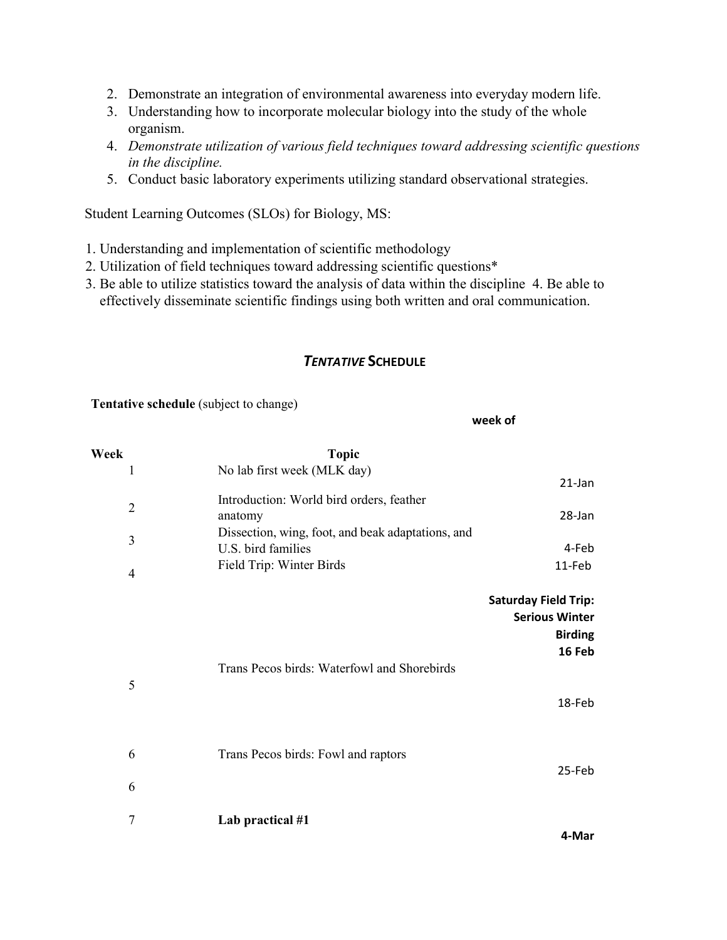- 2. Demonstrate an integration of environmental awareness into everyday modern life.
- 3. Understanding how to incorporate molecular biology into the study of the whole organism.
- 4. *Demonstrate utilization of various field techniques toward addressing scientific questions in the discipline.*
- 5. Conduct basic laboratory experiments utilizing standard observational strategies.

Student Learning Outcomes (SLOs) for Biology, MS:

- 1. Understanding and implementation of scientific methodology
- 2. Utilization of field techniques toward addressing scientific questions\*
- 3. Be able to utilize statistics toward the analysis of data within the discipline 4. Be able to effectively disseminate scientific findings using both written and oral communication.

## *TENTATIVE* **SCHEDULE**

**week of** 

**Tentative schedule** (subject to change)

| Week                | <b>Topic</b>                                                                                                                   |                                                                                  |
|---------------------|--------------------------------------------------------------------------------------------------------------------------------|----------------------------------------------------------------------------------|
| 1                   | No lab first week (MLK day)                                                                                                    | $21$ -Jan                                                                        |
| $\overline{2}$<br>3 | Introduction: World bird orders, feather<br>anatomy<br>Dissection, wing, foot, and beak adaptations, and<br>U.S. bird families | 28-Jan                                                                           |
| $\overline{4}$      | Field Trip: Winter Birds                                                                                                       | 4-Feb<br>11-Feb                                                                  |
|                     |                                                                                                                                | <b>Saturday Field Trip:</b><br><b>Serious Winter</b><br><b>Birding</b><br>16 Feb |
| 5                   | Trans Pecos birds: Waterfowl and Shorebirds                                                                                    | 18-Feb                                                                           |
| 6                   | Trans Pecos birds: Fowl and raptors                                                                                            |                                                                                  |
| 6                   |                                                                                                                                | 25-Feb                                                                           |
| 7                   | Lab practical #1                                                                                                               | 4-Mar                                                                            |